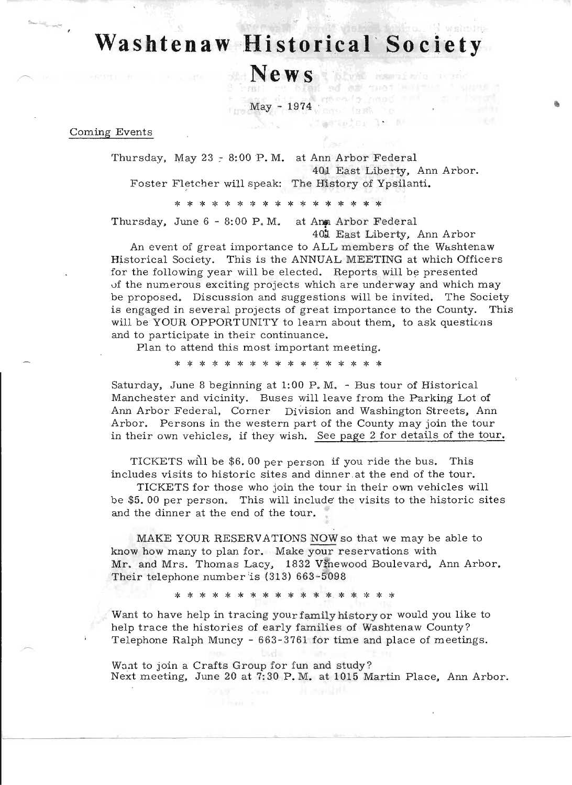# **Washtenaw Historical Society**

**News** know have news

 $\text{May}$  - 1974  $\text{C}$  and  $\text{C}$ 

Coming Events

'-

Thursday, May 23  $-$  8:00 P.M. at Ann Arbor Federal 40) East Liberty, Ann Arbor. Foster Fletcher will speak: The History of Ypsilanti.

aenoin, le au

\* \* \* \* \* \* \* \* \* \* \* \* \* \* \* \*

Thursday, June  $6 - 8:00$  P.M. at Anm Arbor Federal 401 East Liberty, Ann Arbor

An event of great importance to ALL members of the Washtenaw Historical Society. This is the ANNUAL MEETING at which Officers for the following year will be elected. Reports will be presented vf the numerous exciting projects which are underway and which may be proposed. Discussion and suggestions will be invited. The Society is engaged in several projects of great importance to the County. This will be YOUR OPPORTUNITY to learn about them, to ask questions and to participate in their continuance.

Plan to attend this most important meeting.

\* \* \* \* \* \* \* \* \* \* \* \* \* \* \* \*

Saturday, June 8 beginning at 1:00 P.M. - Bus tour of Historical Manchester and vicinity. Buses will leave from the Parking Lot of Ann Arbor Federal, Corner Division and Washington Streets, Ann Arbor. Persons in the western part of the County may join the tour in their own vehicles, if they wish. See page 2 for details of the tour.

TICKETS will be \$6. 00 per person if you ride the bus. This includes visits to historic sites and dinner. at the end of the tour.

TICKETS for those who join the tour in their own vehicles will be \$5.00 per person. This will include the visits to the historic sites and the dinner at the end of the tour.

MAKE YOUR RESERVATIONS NOW so that we may be able to know how many to plan for. Make your reservations with Mr. and Mrs. Thomas Lacy, 1832 Vinewood Boulevard, Ann Arbor. Their telephone number is  $(313)$  663-5098

\* \* \* \* \* \* \* \* \* \* \* \* \* \* \* \* \*

Want to have help in tracing your family history or would you like to help trace the histories of early families of Washtenaw County? Telephone Ralph Muncy - 663-3761 for time and place of meetings.

Wont to join a Crafts Group for fun and study? Next meeting, June 20 at 7:30 P. M. at 1015 Martin Place, Ann Arbor.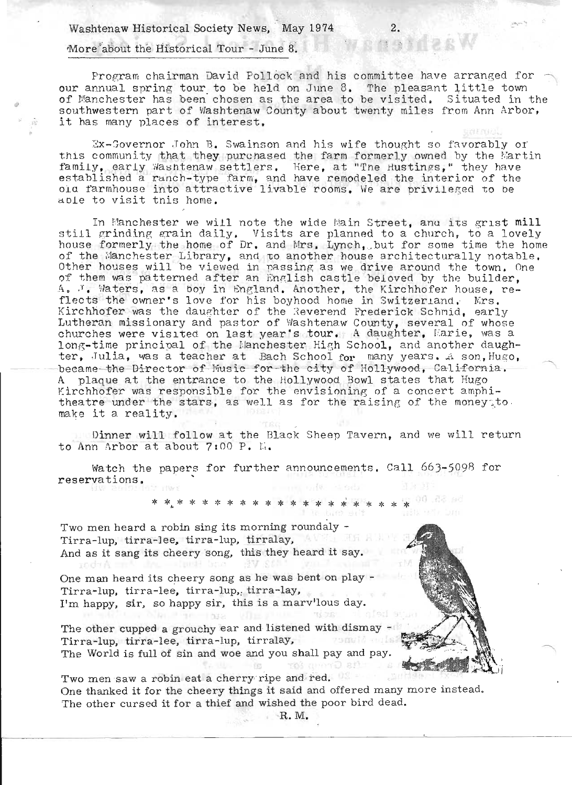Washtenaw Historical Society News, May 1974 More about the Historical Tour - June 8.

Program chairman David Pollock and his committee have arranged for our annual spring tour. to be held on June 8. 'I'he pleasant little tovm of Manchester has been chosen as the area to be visited. Situated in the southwestern part of Washtenaw County about twenty miles from Ann Arbor, it has many places of interest.

Ex-Governor John B. Swainson and his wife thought so favorably or this community that they purchased the farm formerly owned by the Martin family, early Washtenaw settlers. Here, at "The Hustings," they have established a ranch-type farm, and have remodeled the interior of the old farmhouse into attractive livable rooms. We are privileged to be old larmnouse into attractive livable rooms, we are privileged<br>able to visit this home.

In Manchester we will note the wide Main Street, and its grist mill still grinding grain daily. Visits are planned to a church, to a lovely house formerly the home of Dr. and Mrs. Lynch, but for some time the home of the Manchester Library, and to another house architecturally notable. Other houses will be viewed in passing as we drive around the town. One other houses will be viewed in passing as we drive around the commit on A. J. Waters, as a boy in England. Another, the Kirchhofer house, reflects the owner's love for his boyhood home in Switzer and. Mrs. Kirchhofer was the daughter of the Reverend Frederick Schnid, early Lutheran missionary and pastor of Washtenaw County, several of whose churches were visited on last year's tour. A daughter, Marie, was a long-time principal of the Manchester High School, and another daughter, Julia, was a teacher at Bach School for many years. A son, Hugo, -became-the-Director of-Music for-the-city of-Hollywood, California.<br>A -plaque at the entrance to the Hollywood Bowl states that Hugo plaque at the entrance to the Hollywood Bowl states that Hugo Kirchhofer was responsible for the envisioning of a concert amphitheatre under the stars, as well as for the raising of the money<sub>s</sub>to. theatre under the stars, as well as for the raising of the money.<br>make it a reality.

.. Dinner will follow at the Black Sheep Tavern, and we will return to Ann Arbor at about  $7:00$  P.  $\mathbb{K}_*$ 

Watch the papers for further announcements. Call 663-5098 for reservations.

\*.\*.\* \* \* \* \* \* \* \* \* \* \* \* \* ~ \* \* \* \* \*

Two men heard a robin sing its morning roundaly - Tirra-lup, tirra-lee, tirra-lup, tirralay, AVI Hand And as it sang its cheery song, this they heard it say. cond Built

xodaA

One man heard its cheery song as he was bent on play - Tirra-lup. tirra-lee, tirra-lup.; tirra-lay, I'm happy, sir, so happy sir, this is a marv'lous day.

A TELLING AND SECTION TO THE The other cupped a grouchy ear and listened with dismay -Tirra-lup, tirra-lee, tirra-lup, tirralay, and the last The World is full of sin and woe and you shall pay and pay.

Two men saw a robin eat a cherry ripe and· red. One thanked it for the cheery things it said and offered many more instead. The other cursed it for a thief and wished the poor bird dead.

 $-155$ 

·R. M.

the Group set

WESTERW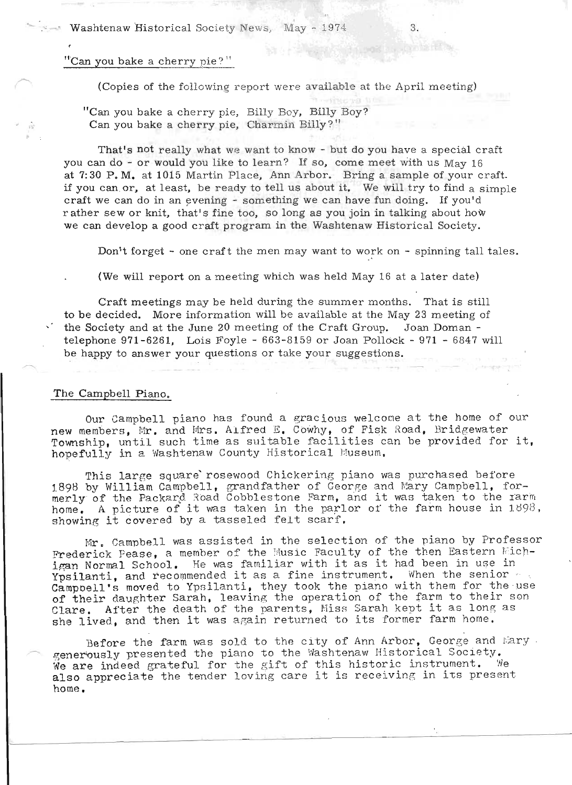### "Can you bake a cherry pie?"

(Copies of the following report were available at the April meeting)

. "Can you bake a cherry pie, Billy Boy, Billy Boy? Can you bake a cherry pie, Charmin Billy?"

That's not really what we want to know - but do you have a special craft you can do - or would you like to learn? If so, come meet with us Mav 16 at  $7:30$  P. M. at 1015 Martin Place, Ann Arbor. Bring a sample of your craft. if you can. or, at least. be ready to tell us about it. We will try to find a simple craft we can do in an evening - something we can have fun doing. If you'd rather sew or knit, that's fine too, so long as you join in talking about how we can develop a good craft program in the Washtenaw Historical Society.

Don't forget - one craft the men may want to work on - spinning tall tales.

(We will report on a meeting which was held May 16 at a later date)

Craft meetings may be held during the summer months. That is still to be decided. More information will be available at the May 23 meeting of the Society and at the June 20 meeting of the Craft Group. Joan Doman telephone  $971 - 6261$ . Lois Foyle -  $663 - 8159$  or Joan Pollock -  $971 - 6847$  will be happy to answer your questions or take your suggestions.

### The Campbell Piano.

Our Campbell piano has found a gracious welcome at the home of our new members, Mr. and Mrs. Alfred E. Cowhy, of Fisk Road, Bridgewater Township, until such time as suitable facilities can be provided for it, hopefully in a Washtenaw County Historical Museum.

This large square rosewood Chickering piano was purchased before This large square rosewood Chickering piano was purchased before<br>BQB by William Campbell, grandfather of George and Mary Campbell, for-898 by William Campbell, grandfather of George and Mary Campbell, for-<br>erly of the Packard Road Cobblestone Farm, and it was taken to the Iarm herly of the Packard Road Cobblestone Farm, and it was taken to the farm is the parameter of it was taken in the parlor of the farm house in 1898. home. A picture of it was taken in the parlor of the farm house in 1898, showing it covered by a tasseled felt scarf.

Mr. Campbell was assisted in the selection of the piano by Professor Mr. Campbell was assisted in the selection of the plano by frofessor<br>Federick Pease, a member of the Music Faculty of the then Eastern Mich-<br>Mormal School. He was familiar with it as it had been in use in igan Normal School. He was familiar with it as it had been in use in Ypsilanti, and recommended it as a fine instrument. When the senior  $\sim t$ Campoell's moved to Ypsilanti, they took the piano with them for the use of their daughter Sarah, leaving the operation of the farm to their son Clare. After the death of the parents, Miss Sarah kept it as long as<br>she lived, and then it was again returned to its former farm home.

Before the farm was sold to the city of Ann Arbor, George and Mary. *r-----* .a.;eneriQusly presented the pia no to the Vlashtenaw Historical Society. enerously presented the piano to the Washtenaw Historical Society.<br>'e are indeed grateful for the gift of this historic instrument. 'We We are indeed grateful for the gift of this historic instrument. We<br>also appreciate the tender loving care it is receiving in its present home.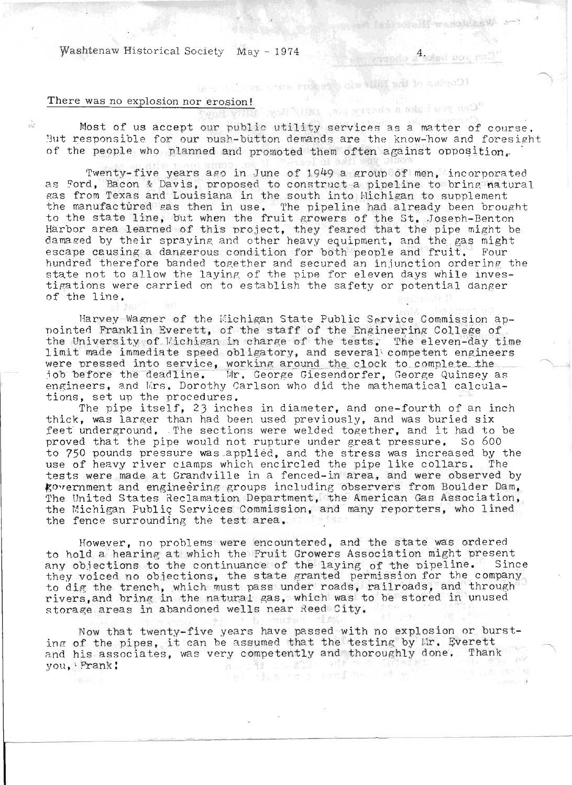Washtenaw Historical Society May - 1974  $\frac{4}{\sqrt{3}}$ 

## There was no explosion nor erosion!

*t*<br> *the services* as a matter of course.<br>
Most of us accept our public utility services as a matter of course. But responsible for our push-button demands are the know-how and foresight of the people who planned and promoted them often against opposition.

La propositiva dell'Esta

Twenty-five years ago in June of 1949 a group of men, incorporated as Ford, Bacon & Davis, proposed to construct a pipeline to bring natural gas from Texas and Louisiana in the south into Michigan to supplement the manufactured gas then in use. The pipeline had already been brought the manulactured gas then in use. The pipeline had already been brough<br>to the state line, but when the fruit growers of the St. Joseph-Benton o the state fine, but when the fruit growers of the st. Joseph-Benton<br>Warbor area learned of this project, they feared that the pipe might be arbor area rearned of this project, they feared that the pipe might be<br>lamaged by their spraying and other heavy equipment. and the gas might ramaged by their spraying and other neavy equipment, and the gas might<br>scape causing a dangerous condition for both people and fruit. Four hundred therefore banded together and secured an injunction ordering the state not to allow the laying of the pipe for eleven days while inves tigations were carried on to establish the safety or potential danger of the line.

Harvey Wagner of the Michigan State Public Service Commission apnointed Franklin Everett, of the staff of the Engineering College of the University of Michigan in charge of the tests. The eleven-day time limit made immediate speed obligatory, and several' competent engineers were pressed into service, working around the clock to complete the<br>job before the deadline. - Mr. George Giesendorfer. George Quinsey as engineers, and Krs. Dorothy Carlson who did the mathematical calculations, set up the procedures.<br>The pipe itself, 23 inches in diameter, and one-fourth of an inch

thick, was larger than had been used previously, and was buried six feet underground. The sections were welded together, and it had to be proved that the pipe would not rupture under great pressure. So 600 to 750 pounds pressure was applied, and the stress was increased by the use of heavy river clamps which encircled the pipe like collars. The tests were made at Grandville in a fenced-in area, and were observed by ~O'rernmen:t and engineering groups including observers from Boulder Dam, The United States Reclamation Department, the American Gas Association, the Michigan Public Services Commission, and many reporters, who lined the fence surrounding the test area.

However, no problems were encountered, and the state was ordered to hold a hearing at which the Fruit Growers Association might present to nold a nearing at which the rruit drowers association might present<br>uny objections to the continuance of the laying of the pipeline. Since .ny objections to the continuance of the faying of the pipeline. Since<br>hey voiced no objections, the state granted permission for the company. to dig the trench, which must pass under roads, railroads, and through rivers, and bring in the natural gas, which was to be stored in unused storage areas in abandoned wells near Reed City.

Now that twenty-five years have passed with no explosion or bursting of the pipes, it can be assumed that the testing by Ir. Everett and his associates, was very competently and thoroughly done. Thank you, , Prank:  $-1.0$ Ñ.

세트 높이 지하던데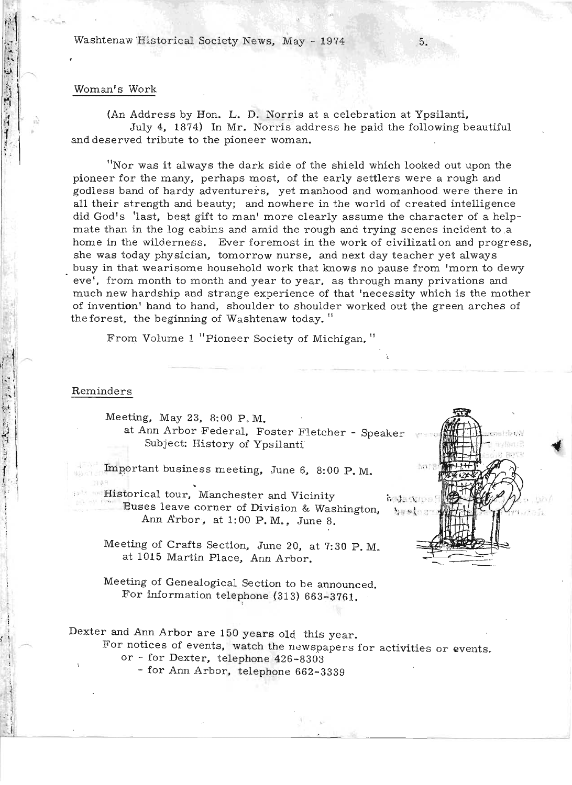Washtenaw Historical Society News, May - 1974

#### Woman's Work

(An Address by Hon. L. D. Norris at a celebration at Ypsilanti. July 4. 1874) In Mr. Norris address he paid the following beautiful and deserved tribute to the pioneer woman.

"Nor was it always the dark side of the shield which looked out upon the pioneer for the many, perhaps most, of the early settlers were a rough and godless band of hardy adventurers, yet manhood and womanhood were there in all their strength and beauty; and nowhere in the world of created intelligence did God's 'last, best gift to man' more clearly assume the character of a helpmate than in the log cabins and amid the rough and trying scenes incident to ,a home in the wilderness. Ever foremost in the work of civilization and progress. she was today physician, tomorrow nurse, and next day teacher yet always . busy in that wearisome household work that knows no pause from 'morn to dewy eve', from month to month and year to year, as through many privations and much new hardship and strange experience of that 'necessity which is the mother of invention' hand to hand, shoulder to shoulder worked out the green arches of the forest, the beginning of  $W$ ashtenaw today. "

From Volume 1 "Pioneer Society of Michigan."

### Reminders

i '

. i

10年1月1日

 $\mathbb{R}^3$ 

Meeting, May 23, 8:00 P.M. at Ann Arbor Federal, Foster Fletcher - Speaker Subject: History of Ypsilanti

Important business meeting, June 6, 8:00 P.M.

... Historical tour, Manchester and Vicinity is the Nups Buses leave corner of Division & Washington,  $\cdot$ Ann Arbor, at 1:00 P.M., June 8.

None

Meeting of Crafts Section, June 20, at 7: 30 P. M. at 1015 Martin Place, Ann Arbor.

Meeting of Genealogical Section to be announced. For information telephone (313)  $663-3761$ .

Dexter and Ann Arbor are 150 years old this year.

For notices of events, watch the newspapers for activities or events.

or - for Dexter, telephone 426-8303

- for Ann Arbor, telephone 662-3339